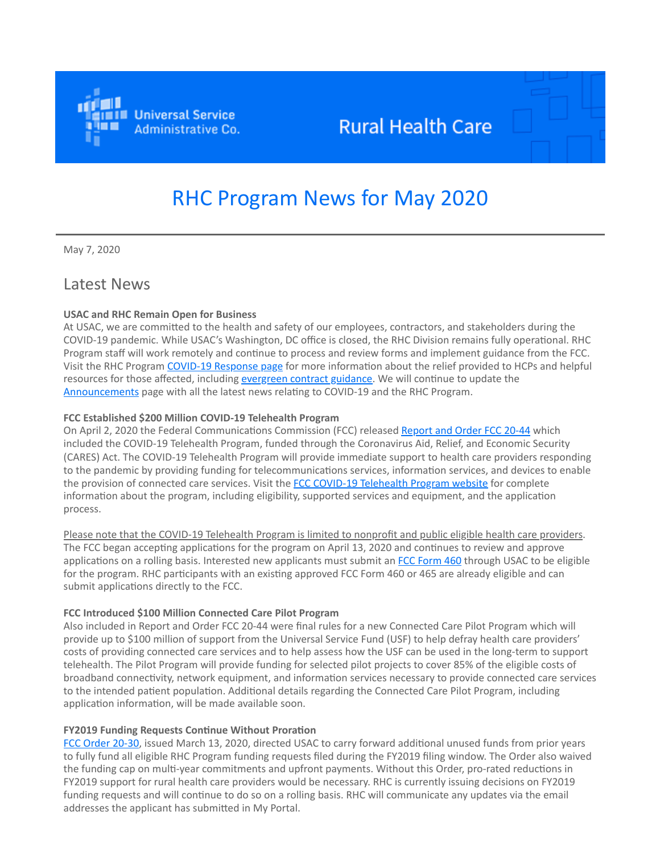

## **Rural Health Care**

# RHC Program News for May 2020

May 7, 2020

## Latest News

#### **USAC and RHC Remain Open for Business**

At USAC, we are committed to the health and safety of our employees, contractors, and stakeholders during the COVID-19 pandemic. While USAC's Washington, DC office is closed, the RHC Division remains fully operational. RHC Program staff will work remotely and continue to process and review forms and implement guidance from the FCC. Visit the RHC Program [COVID-19 Response page](https://click.outreach.usac.org/?qs=50f9d72730a0592db0c0d1f50e58b6eff475c68a623ec82e296f9245091ecd9d5751e61fc5c707d7b9b35e3096e691d824e64afdb4d2236d) for more information about the relief provided to HCPs and helpful resources for those affected, including [evergreen contract guidance.](https://click.outreach.usac.org/?qs=50f9d72730a0592d71a036caef68eab8fa72f38f191aef131f580f0cd46538d3a9cda0220ae8bd1dad1e7fc3a47d8312998c77c34bfd92cc) We will continue to update the [Announcements](https://click.outreach.usac.org/?qs=50f9d72730a0592d93f4e0aafc34fd649940942934ee5d7fc72ade5d578f9e3529409a1c757d9d1499ee418c37cfac21e17b17961a26432f) page with all the latest news relating to COVID-19 and the RHC Program.

#### **FCC Established \$200 Million COVID-19 Telehealth Program**

On April 2, 2020 the Federal Communications Commission (FCC) released [Report and Order FCC 20-44](https://click.outreach.usac.org/?qs=50f9d72730a0592daf6a2658beb91af3b70bdf1654c40f8a35561733061d7cfef88b7e359520d3bc7c600b3562a78851b8a1af83962cc64f) which included the COVID-19 Telehealth Program, funded through the Coronavirus Aid, Relief, and Economic Security (CARES) Act. The COVID-19 Telehealth Program will provide immediate support to health care providers responding to the pandemic by providing funding for telecommunications services, information services, and devices to enable the provision of connected care services. Visit the [FCC COVID-19 Telehealth Program website](https://click.outreach.usac.org/?qs=50f9d72730a0592d385587bb6fa4122b773c86de8e8aaa1c347e987205b74f7b6ecb64a56ccad24d6e24e1bfbf4e11c799f7813d0b285218) for complete information about the program, including eligibility, supported services and equipment, and the application process.

Please note that the COVID-19 Telehealth Program is limited to nonprofit and public eligible health care providers. The FCC began accepting applications for the program on April 13, 2020 and continues to review and approve applications on a rolling basis. Interested new applicants must submit an [FCC Form 460](https://click.outreach.usac.org/?qs=50f9d72730a0592d0f884e4c4b254627e9acada9e0793258c881c662485fab1ee4ded13ac2410bca9bd388a2a90efbacb558aa645552c221) through USAC to be eligible for the program. RHC participants with an existing approved FCC Form 460 or 465 are already eligible and can submit applications directly to the FCC.

#### **FCC Introduced \$100 Million Connected Care Pilot Program**

Also included in Report and Order FCC 20-44 were final rules for a new Connected Care Pilot Program which will provide up to \$100 million of support from the Universal Service Fund (USF) to help defray health care providers' costs of providing connected care services and to help assess how the USF can be used in the long-term to support telehealth. The Pilot Program will provide funding for selected pilot projects to cover 85% of the eligible costs of broadband connectivity, network equipment, and information services necessary to provide connected care services to the intended patient population. Additional details regarding the Connected Care Pilot Program, including application information, will be made available soon.

#### **FY2019 Funding Requests Continue Without Proration**

[FCC Order 20-30](https://click.outreach.usac.org/?qs=50f9d72730a0592d6887c7917467272e83dc9d6707626230de4fb0dfb6738a430fd52e4215a3ee57eeee9083cb5b353fb57453e37ef3fb43), issued March 13, 2020, directed USAC to carry forward additional unused funds from prior years to fully fund all eligible RHC Program funding requests filed during the FY2019 filing window. The Order also waived the funding cap on multi-year commitments and upfront payments. Without this Order, pro-rated reductions in FY2019 support for rural health care providers would be necessary. RHC is currently issuing decisions on FY2019 funding requests and will continue to do so on a rolling basis. RHC will communicate any updates via the email addresses the applicant has submitted in My Portal.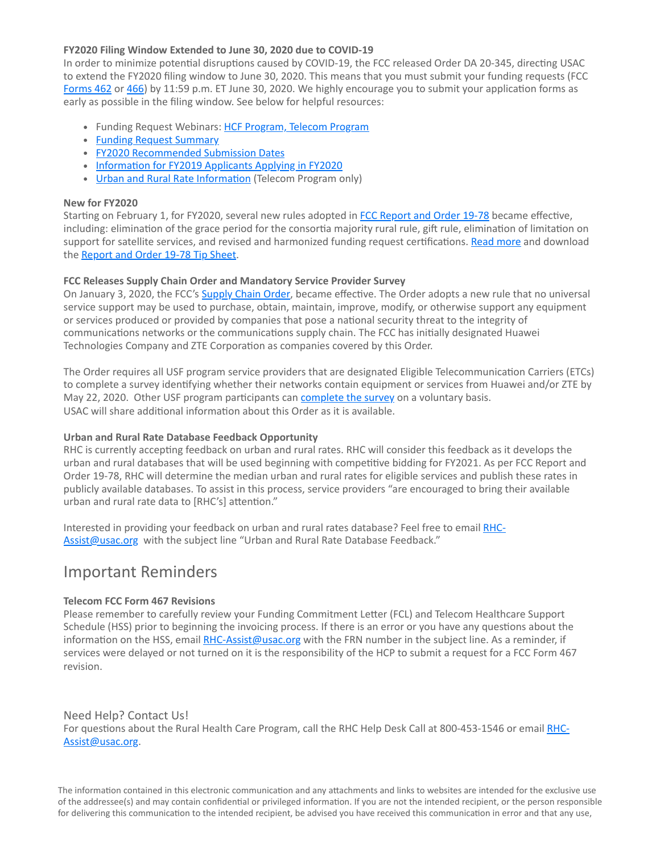#### **FY2020 Filing Window Extended to June 30, 2020 due to COVID-19**

In order to minimize potential disruptions caused by COVID-19, the FCC released Order DA 20-345, directing USAC to extend the FY2020 filing window to June 30, 2020. This means that you must submit your funding requests (FCC [Forms 462](https://click.outreach.usac.org/?qs=50f9d72730a0592dac14ddff00fbef00bdbd78a85325282bf3dc0319d935d89a7fb0be57512ff4384b80c18e8d6d89bd273945d7c1643a5d) or [466](https://click.outreach.usac.org/?qs=50f9d72730a0592dd0a38601546d946bea4bdf1cb0a184f235d859c8bdf2e6bba792549bd145ad00c401bade9ab4f8928ae9da6ac570d7df)) by 11:59 p.m. ET June 30, 2020. We highly encourage you to submit your application forms as early as possible in the filing window. See below for helpful resources:

- Funding Request Webinars: [HCF Program, Telecom Program](https://click.outreach.usac.org/?qs=50f9d72730a0592dc32c917b17305d436977e5e5eec4fa22d608ec128c0e67e60dc065e91609a1a0a9ea49f89c2af7a280b46bab0580ae3f)
- [Funding Request Summary](https://click.outreach.usac.org/?qs=50f9d72730a0592da7e427368a5b53bd0ca1de65bcf60b5e0f9119e896d34039387a432f5eb1dfc995eb5a3feaac4dade14e60bf474165f1)
- [FY2020 Recommended Submission Dates](https://click.outreach.usac.org/?qs=50f9d72730a0592d2c2be546c9915273ee0a5bd05f7a49da5a583de83d9883497ce36b715606e245ba5ac48d40bb3d7d03c36be9cc9a0a2f)
- [Information for FY2019 Applicants Applying in FY2020](https://click.outreach.usac.org/?qs=50f9d72730a0592d354b4548d693451b92d6913ccab6d5cf691c33a3e70eca589ead5fa1ee033df6355fd2c9347bd0dac42c87b8022300be)
- [Urban and Rural Rate Information](https://click.outreach.usac.org/?qs=50f9d72730a0592da73e3d35e9a1829f864e57e3d65826fd139a9b4bcf5eac05a49d8a8f4312ac15449ce9a768d884e223e57b9321f62186) (Telecom Program only)

#### **New for FY2020**

Starting on February 1, for FY2020, several new rules adopted in [FCC Report and Order 19-78](https://click.outreach.usac.org/?qs=50f9d72730a0592df7b1a9c3ae89079198a6fc0c7fb0316bd84c7b727e7c3f7bb1c0e346ca4f2cd7ba919c7e8e53405f4b12471a7127c6e6) became effective, including: elimination of the grace period for the consortia majority rural rule, gift rule, elimination of limitation on support for satellite services, and revised and harmonized funding request certifications. [Read more](https://click.outreach.usac.org/?qs=50f9d72730a0592d5d5a2e8ed1adc4629ed06b2f9c93425fd4fd1fa15e8c6ed8cbe33fa70599c3ba3b1adfdaa659329298e462461705f99c) and download the [Report and Order 19-78 Tip Sheet](https://click.outreach.usac.org/?qs=50f9d72730a0592d8b7ece29aa93d2fc6505d3dabe813dd4672cd5f9507027e03185cb14032f9220e6292925a3fa4c2348d1bf0ef8d21423).

#### **FCC Releases Supply Chain Order and Mandatory Service Provider Survey**

On January 3, 2020, the FCC's [Supply Chain Order,](https://click.outreach.usac.org/?qs=50f9d72730a0592d6bea5ad5520647d0256c3e3304d95114180dd708d2cfcc8a65e867f2a704aa4bae50a296d05547349704833423dc2314) became effective. The Order adopts a new rule that no universal service support may be used to purchase, obtain, maintain, improve, modify, or otherwise support any equipment or services produced or provided by companies that pose a national security threat to the integrity of communications networks or the communications supply chain. The FCC has initially designated Huawei Technologies Company and ZTE Corporation as companies covered by this Order.

The Order requires all USF program service providers that are designated Eligible Telecommunication Carriers (ETCs) to complete a survey identifying whether their networks contain equipment or services from Huawei and/or ZTE by May 22, 2020. Other USF program participants can [complete the survey](https://click.outreach.usac.org/?qs=50f9d72730a0592daebd9518445668438302638f1b618da00dd774c4a3e51e25151f42fe86f7034ef2aa86ae1949c9e31426a4d790b9022e) on a voluntary basis. USAC will share additional information about this Order as it is available.

#### **Urban and Rural Rate Database Feedback Opportunity**

RHC is currently accepting feedback on urban and rural rates. RHC will consider this feedback as it develops the urban and rural databases that will be used beginning with competitive bidding for FY2021. As per FCC Report and Order 19-78, RHC will determine the median urban and rural rates for eligible services and publish these rates in publicly available databases. To assist in this process, service providers "are encouraged to bring their available urban and rural rate data to [RHC's] attention."

[Interested in providing your feedback on urban and rural rates database? Feel free to email RHC-](mailto:RHC-Assist@usac.org?subject=)Assist@usac.org with the subject line "Urban and Rural Rate Database Feedback."

## Important Reminders

#### **Telecom FCC Form 467 Revisions**

Please remember to carefully review your Funding Commitment Letter (FCL) and Telecom Healthcare Support Schedule (HSS) prior to beginning the invoicing process. If there is an error or you have any questions about the information on the HSS, email [RHC-Assist@usac.org](mailto:RHC-Assist@usac.org?subject=) with the FRN number in the subject line. As a reminder, if services were delayed or not turned on it is the responsibility of the HCP to submit a request for a FCC Form 467 revision.

#### Need Help? Contact Us!

[For questions about the Rural Health Care Program, call](mailto:RHC-Assist@usac.org?subject=) the RHC Help Desk Call at 800-453-1546 or email RHC-Assist@usac.org.

The information contained in this electronic communication and any attachments and links to websites are intended for the exclusive use of the addressee(s) and may contain confidential or privileged information. If you are not the intended recipient, or the person responsible for delivering this communication to the intended recipient, be advised you have received this communication in error and that any use,